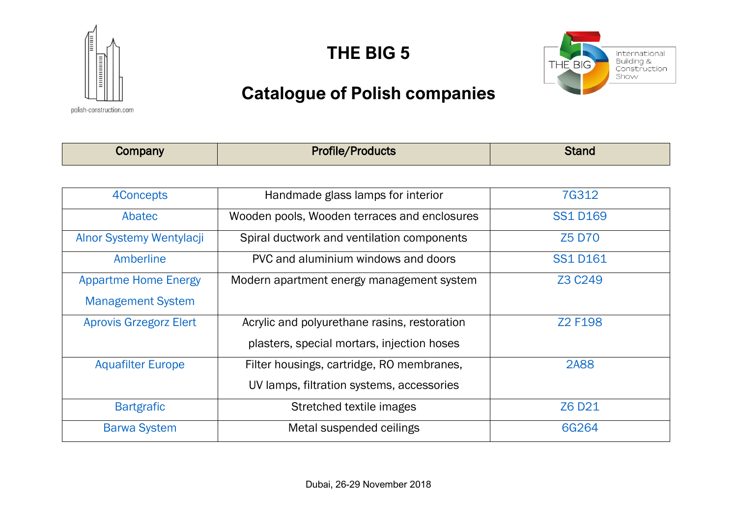

**THE BIG 5**



# **Catalogue of Polish companies**

polish-construction.com

| Company                       | <b>Profile/Products</b>                      | <b>Stand</b>    |
|-------------------------------|----------------------------------------------|-----------------|
|                               |                                              |                 |
| 4Concepts                     | Handmade glass lamps for interior            | 7G312           |
| Abatec                        | Wooden pools, Wooden terraces and enclosures | <b>SS1 D169</b> |
| Alnor Systemy Wentylacji      | Spiral ductwork and ventilation components   | <b>Z5 D70</b>   |
| Amberline                     | PVC and aluminium windows and doors          | <b>SS1 D161</b> |
| <b>Appartme Home Energy</b>   | Modern apartment energy management system    | Z3 C249         |
| <b>Management System</b>      |                                              |                 |
| <b>Aprovis Grzegorz Elert</b> | Acrylic and polyurethane rasins, restoration | Z2 F198         |
|                               | plasters, special mortars, injection hoses   |                 |
| <b>Aquafilter Europe</b>      | Filter housings, cartridge, RO membranes,    | <b>2A88</b>     |
|                               | UV lamps, filtration systems, accessories    |                 |
| <b>Bartgrafic</b>             | Stretched textile images                     | Z6 D21          |
| <b>Barwa System</b>           | Metal suspended ceilings                     | 6G264           |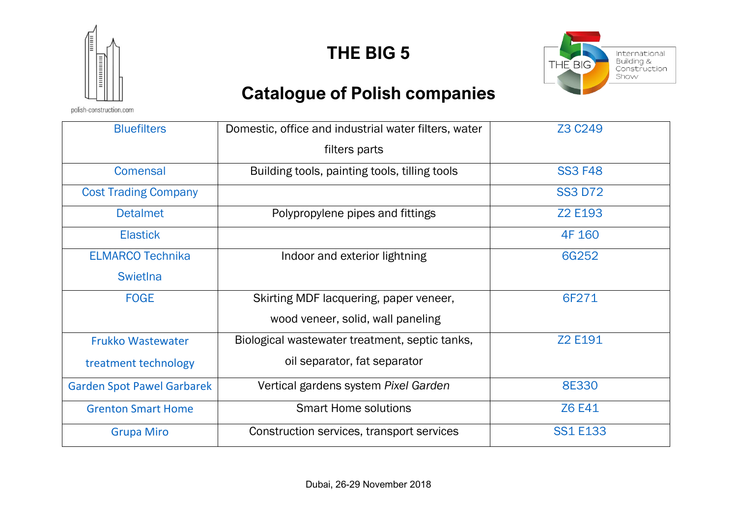

**THE BIG 5**



# **Catalogue of Polish companies**

polish-construction.com

| <b>Bluefilters</b>                | Domestic, office and industrial water filters, water | Z3 C <sub>249</sub> |
|-----------------------------------|------------------------------------------------------|---------------------|
|                                   | filters parts                                        |                     |
| <b>Comensal</b>                   | Building tools, painting tools, tilling tools        | <b>SS3 F48</b>      |
| <b>Cost Trading Company</b>       |                                                      | <b>SS3 D72</b>      |
| <b>Detalmet</b>                   | Polypropylene pipes and fittings                     | Z2 E193             |
| <b>Elastick</b>                   |                                                      | 4F 160              |
| <b>ELMARCO Technika</b>           | Indoor and exterior lightning                        | 6G252               |
| <b>Swietlna</b>                   |                                                      |                     |
| <b>FOGE</b>                       | Skirting MDF lacquering, paper veneer,               | 6F271               |
|                                   | wood veneer, solid, wall paneling                    |                     |
| <b>Frukko Wastewater</b>          | Biological wastewater treatment, septic tanks,       | Z2 E191             |
| treatment technology              | oil separator, fat separator                         |                     |
| <b>Garden Spot Pawel Garbarek</b> | Vertical gardens system Pixel Garden                 | <b>8E330</b>        |
| <b>Grenton Smart Home</b>         | <b>Smart Home solutions</b>                          | <b>Z6 E41</b>       |
| <b>Grupa Miro</b>                 | Construction services, transport services            | <b>SS1 E133</b>     |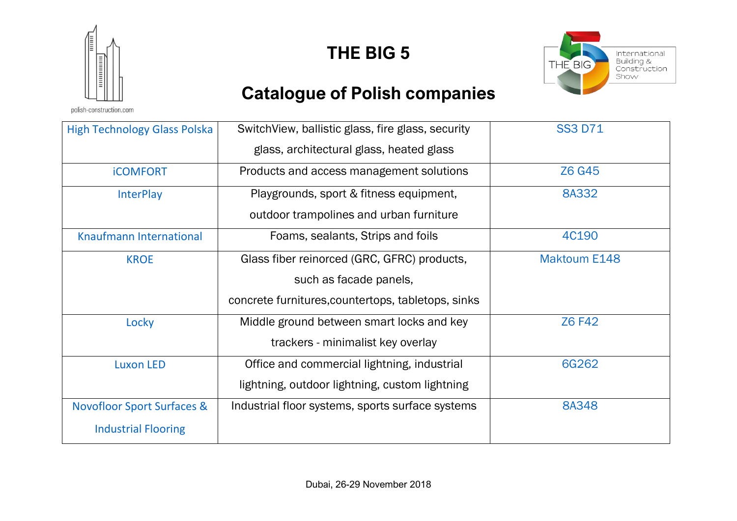

polish-construction.com

### **THE BIG 5**



# **Catalogue of Polish companies**

| <b>High Technology Glass Polska</b>   | SwitchView, ballistic glass, fire glass, security  | <b>SS3 D71</b>      |
|---------------------------------------|----------------------------------------------------|---------------------|
|                                       | glass, architectural glass, heated glass           |                     |
| <b>iCOMFORT</b>                       | Products and access management solutions           | Z6 G45              |
| <b>InterPlay</b>                      | Playgrounds, sport & fitness equipment,            | 8A332               |
|                                       | outdoor trampolines and urban furniture            |                     |
| <b>Knaufmann International</b>        | Foams, sealants, Strips and foils                  | 4C190               |
| <b>KROE</b>                           | Glass fiber reinorced (GRC, GFRC) products,        | <b>Maktoum E148</b> |
|                                       | such as facade panels,                             |                     |
|                                       | concrete furnitures, countertops, tabletops, sinks |                     |
| Locky                                 | Middle ground between smart locks and key          | <b>Z6 F42</b>       |
|                                       | trackers - minimalist key overlay                  |                     |
| <b>Luxon LED</b>                      | Office and commercial lightning, industrial        | 6G262               |
|                                       | lightning, outdoor lightning, custom lightning     |                     |
| <b>Novofloor Sport Surfaces &amp;</b> | Industrial floor systems, sports surface systems   | 8A348               |
| <b>Industrial Flooring</b>            |                                                    |                     |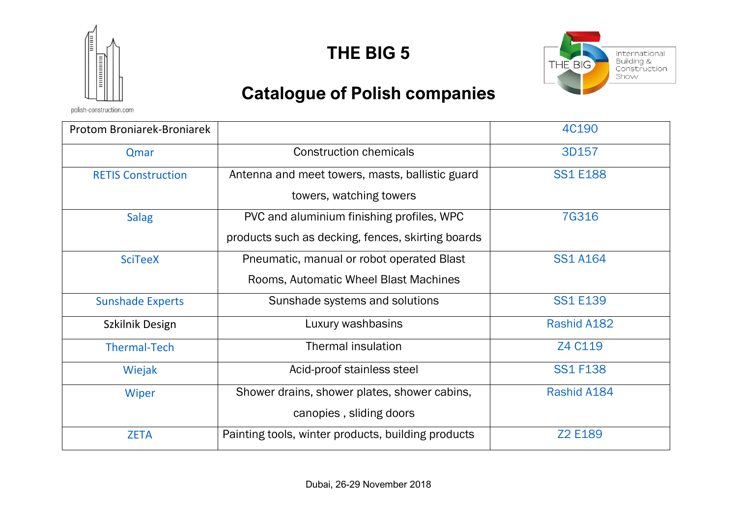

**THE BIG 5**



# **Catalogue of Polish companies**

polish-construction.com

| Protom Broniarek-Broniarek |                                                    | 4C190           |
|----------------------------|----------------------------------------------------|-----------------|
| Qmar                       | <b>Construction chemicals</b>                      | 3D157           |
| <b>RETIS Construction</b>  | Antenna and meet towers, masts, ballistic guard    | <b>SS1 E188</b> |
|                            | towers, watching towers                            |                 |
| <b>Salag</b>               | PVC and aluminium finishing profiles, WPC          | <b>7G316</b>    |
|                            | products such as decking, fences, skirting boards  |                 |
| <b>SciTeeX</b>             | Pneumatic, manual or robot operated Blast          | <b>SS1 A164</b> |
|                            | Rooms, Automatic Wheel Blast Machines              |                 |
| <b>Sunshade Experts</b>    | Sunshade systems and solutions                     | <b>SS1 E139</b> |
| Szkilnik Design            | Luxury washbasins                                  | Rashid A182     |
| <b>Thermal-Tech</b>        | <b>Thermal insulation</b>                          | Z4 C119         |
| Wiejak                     | Acid-proof stainless steel                         | <b>SS1 F138</b> |
| Wiper                      | Shower drains, shower plates, shower cabins,       | Rashid A184     |
|                            | canopies, sliding doors                            |                 |
| <b>ZETA</b>                | Painting tools, winter products, building products | Z2 E189         |